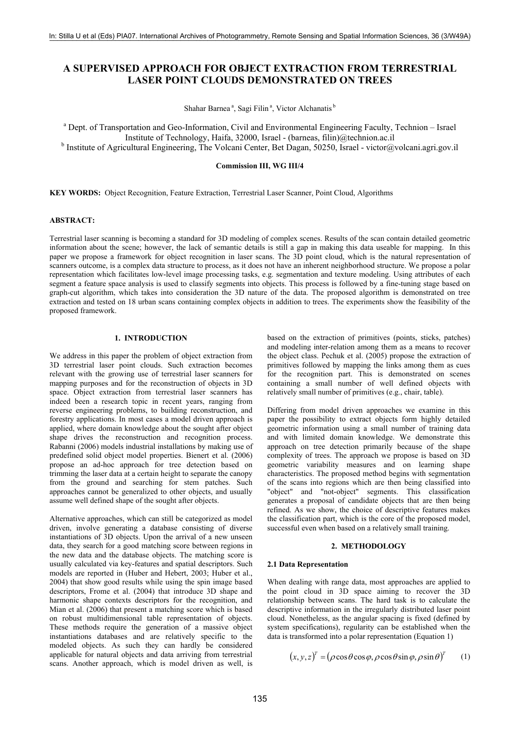# **A SUPERVISED APPROACH FOR OBJECT EXTRACTION FROM TERRESTRIAL LASER POINT CLOUDS DEMONSTRATED ON TREES**

Shahar Barnea<sup>a</sup>, Sagi Filin<sup>a</sup>, Victor Alchanatis<sup>b</sup>

<sup>a</sup> Dept. of Transportation and Geo-Information, Civil and Environmental Engineering Faculty, Technion – Israel Institute of Technology, Haifa, 32000, Israel - (barneas, filin)@technion.ac.il

<sup>b</sup> Institute of Agricultural Engineering, The Volcani Center, Bet Dagan, 50250, Israel - victor@volcani.agri.gov.il

## **Commission III, WG III/4**

**KEY WORDS:** Object Recognition, Feature Extraction, Terrestrial Laser Scanner, Point Cloud, Algorithms

### **ABSTRACT:**

Terrestrial laser scanning is becoming a standard for 3D modeling of complex scenes. Results of the scan contain detailed geometric information about the scene; however, the lack of semantic details is still a gap in making this data useable for mapping. In this paper we propose a framework for object recognition in laser scans. The 3D point cloud, which is the natural representation of scanners outcome, is a complex data structure to process, as it does not have an inherent neighborhood structure. We propose a polar representation which facilitates low-level image processing tasks, e.g. segmentation and texture modeling. Using attributes of each segment a feature space analysis is used to classify segments into objects. This process is followed by a fine-tuning stage based on graph-cut algorithm, which takes into consideration the 3D nature of the data. The proposed algorithm is demonstrated on tree extraction and tested on 18 urban scans containing complex objects in addition to trees. The experiments show the feasibility of the proposed framework.

# **1. INTRODUCTION**

We address in this paper the problem of object extraction from 3D terrestrial laser point clouds. Such extraction becomes relevant with the growing use of terrestrial laser scanners for mapping purposes and for the reconstruction of objects in 3D space. Object extraction from terrestrial laser scanners has indeed been a research topic in recent years, ranging from reverse engineering problems, to building reconstruction, and forestry applications. In most cases a model driven approach is applied, where domain knowledge about the sought after object shape drives the reconstruction and recognition process. Rabanni (2006) models industrial installations by making use of predefined solid object model properties. Bienert et al. (2006) propose an ad-hoc approach for tree detection based on trimming the laser data at a certain height to separate the canopy from the ground and searching for stem patches. Such approaches cannot be generalized to other objects, and usually assume well defined shape of the sought after objects.

Alternative approaches, which can still be categorized as model driven, involve generating a database consisting of diverse instantiations of 3D objects. Upon the arrival of a new unseen data, they search for a good matching score between regions in the new data and the database objects. The matching score is usually calculated via key-features and spatial descriptors. Such models are reported in (Huber and Hebert, 2003; Huber et al., 2004) that show good results while using the spin image based descriptors, Frome et al. (2004) that introduce 3D shape and harmonic shape contexts descriptors for the recognition, and Mian et al. (2006) that present a matching score which is based on robust multidimensional table representation of objects. These methods require the generation of a massive object instantiations databases and are relatively specific to the modeled objects. As such they can hardly be considered applicable for natural objects and data arriving from terrestrial scans. Another approach, which is model driven as well, is based on the extraction of primitives (points, sticks, patches) and modeling inter-relation among them as a means to recover the object class. Pechuk et al. (2005) propose the extraction of primitives followed by mapping the links among them as cues for the recognition part. This is demonstrated on scenes containing a small number of well defined objects with relatively small number of primitives (e.g., chair, table).

Differing from model driven approaches we examine in this paper the possibility to extract objects form highly detailed geometric information using a small number of training data and with limited domain knowledge. We demonstrate this approach on tree detection primarily because of the shape complexity of trees. The approach we propose is based on 3D geometric variability measures and on learning shape characteristics. The proposed method begins with segmentation of the scans into regions which are then being classified into "object" and "not-object" segments. This classification generates a proposal of candidate objects that are then being refined. As we show, the choice of descriptive features makes the classification part, which is the core of the proposed model, successful even when based on a relatively small training.

## **2. METHODOLOGY**

## **2.1 Data Representation**

When dealing with range data, most approaches are applied to the point cloud in 3D space aiming to recover the 3D relationship between scans. The hard task is to calculate the descriptive information in the irregularly distributed laser point cloud. Nonetheless, as the angular spacing is fixed (defined by system specifications), regularity can be established when the data is transformed into a polar representation (Equation 1)

$$
(x, y, z)^{T} = (\rho \cos \theta \cos \varphi, \rho \cos \theta \sin \varphi, \rho \sin \theta)^{T}
$$
 (1)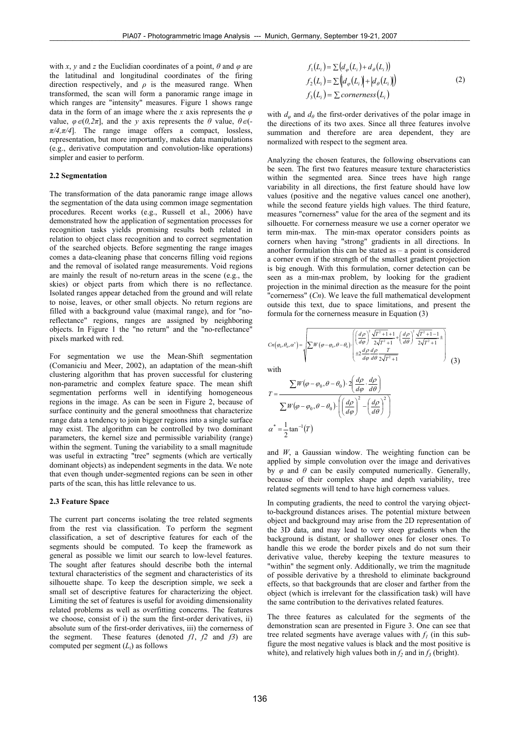with *x*, *y* and *z* the Euclidian coordinates of a point,  $\theta$  and  $\varphi$  are the latitudinal and longitudinal coordinates of the firing direction respectively, and  $\rho$  is the measured range. When transformed, the scan will form a panoramic range image in which ranges are "intensity" measures. Figure 1 shows range data in the form of an image where the *x* axis represents the *φ* value,  $\varphi \in (0, 2\pi]$ , and the *y* axis represents the  $\theta$  value,  $\theta \in (-1, 2\pi]$  $\pi/4$ , $\pi/4$ ]. The range image offers a compact, lossless, representation, but more importantly, makes data manipulations (e.g., derivative computation and convolution-like operations) simpler and easier to perform.

# **2.2 Segmentation**

The transformation of the data panoramic range image allows the segmentation of the data using common image segmentation procedures. Recent works (e.g., Russell et al., 2006) have demonstrated how the application of segmentation processes for recognition tasks yields promising results both related in relation to object class recognition and to correct segmentation of the searched objects. Before segmenting the range images comes a data-cleaning phase that concerns filling void regions and the removal of isolated range measurements. Void regions are mainly the result of no-return areas in the scene (e.g., the skies) or object parts from which there is no reflectance. Isolated ranges appear detached from the ground and will relate to noise, leaves, or other small objects. No return regions are filled with a background value (maximal range), and for "noreflectance" regions, ranges are assigned by neighboring objects. In Figure 1 the "no return" and the "no-reflectance" pixels marked with red.

For segmentation we use the Mean-Shift segmentation (Comaniciu and Meer, 2002), an adaptation of the mean-shift clustering algorithm that has proven successful for clustering non-parametric and complex feature space. The mean shift segmentation performs well in identifying homogeneous regions in the image. As can be seen in Figure 2, because of surface continuity and the general smoothness that characterize range data a tendency to join bigger regions into a single surface may exist. The algorithm can be controlled by two dominant parameters, the kernel size and permissible variability (range) within the segment. Tuning the variability to a small magnitude was useful in extracting "tree" segments (which are vertically dominant objects) as independent segments in the data. We note that even though under-segmented regions can be seen in other parts of the scan, this has little relevance to us.

#### **2.3 Feature Space**

The current part concerns isolating the tree related segments from the rest via classification. To perform the segment classification, a set of descriptive features for each of the segments should be computed. To keep the framework as general as possible we limit our search to low-level features. The sought after features should describe both the internal textural characteristics of the segment and characteristics of its silhouette shape. To keep the description simple, we seek a small set of descriptive features for characterizing the object. Limiting the set of features is useful for avoiding dimensionality related problems as well as overfitting concerns. The features we choose, consist of i) the sum the first-order derivatives, ii) absolute sum of the first-order derivatives, iii) the cornerness of the segment. These features (denoted *f1*, *f2* and *f3*) are computed per segment (*Li*) as follows

$$
f_1(L_i) = \sum (d_{\varphi}(L_i) + d_{\theta}(L_i))
$$
  
\n
$$
f_2(L_i) = \sum (d_{\varphi}(L_i) + |d_{\theta}(L_i)|)
$$
  
\n
$$
f_3(L_i) = \sum \text{cornerness}(L_i)
$$
\n(2)

with  $d_{\theta}$  and  $d_{\theta}$  the first-order derivatives of the polar image in the directions of its two axes. Since all three features involve summation and therefore are area dependent, they are normalized with respect to the segment area.

Analyzing the chosen features, the following observations can be seen. The first two features measure texture characteristics within the segmented area. Since trees have high range variability in all directions, the first feature should have low values (positive and the negative values cancel one another), while the second feature yields high values. The third feature, measures "cornerness" value for the area of the segment and its silhouette. For cornerness measure we use a corner operator we term min-max. The min-max operator considers points as corners when having "strong" gradients in all directions. In another formulation this can be stated as – a point is considered a corner even if the strength of the smallest gradient projection is big enough. With this formulation, corner detection can be seen as a min-max problem, by looking for the gradient projection in the minimal direction as the measure for the point "cornerness" (*Cn*). We leave the full mathematical development outside this text, due to space limitations, and present the formula for the cornerness measure in Equation (3)

$$
Cn(\varphi_{0}, \theta_{0}, \alpha^{*}) = \sqrt{\sum W(\varphi - \varphi_{0}, \theta - \theta_{0}) \cdot \left[ \frac{d\rho}{d\varphi} \right]^2 \frac{\sqrt{T^2 + 1} + 1}{2\sqrt{T^2 + 1}} + \left( \frac{d\rho}{d\theta} \right)^2 \frac{\sqrt{T^2 + 1} - 1}{2\sqrt{T^2 + 1}} \pm \right]}
$$
\nwith\n
$$
\tag{3}
$$

with

$$
T = \frac{\sum W(\varphi - \varphi_0, \theta - \theta_0) \cdot 2\left(\frac{d\rho}{d\varphi} \cdot \frac{d\rho}{d\theta}\right)}{\sum W(\varphi - \varphi_0, \theta - \theta_0) \cdot \left(\left(\frac{d\rho}{d\varphi}\right)^2 - \left(\frac{d\rho}{d\theta}\right)^2\right)}
$$

$$
\alpha^* = \frac{1}{2} \tan^{-1}(T)
$$

and *W*, a Gaussian window. The weighting function can be applied by simple convolution over the image and derivatives by  $\varphi$  and  $\theta$  can be easily computed numerically. Generally, because of their complex shape and depth variability, tree related segments will tend to have high cornerness values.

In computing gradients, the need to control the varying objectto-background distances arises. The potential mixture between object and background may arise from the 2D representation of the 3D data, and may lead to very steep gradients when the background is distant, or shallower ones for closer ones. To handle this we erode the border pixels and do not sum their derivative value, thereby keeping the texture measures to "within" the segment only. Additionally, we trim the magnitude of possible derivative by a threshold to eliminate background effects, so that backgrounds that are closer and farther from the object (which is irrelevant for the classification task) will have the same contribution to the derivatives related features.

The three features as calculated for the segments of the demonstration scan are presented in Figure 3. One can see that tree related segments have average values with  $f_l$  (in this subfigure the most negative values is black and the most positive is white), and relatively high values both in  $f_2$  and in  $f_3$  (bright).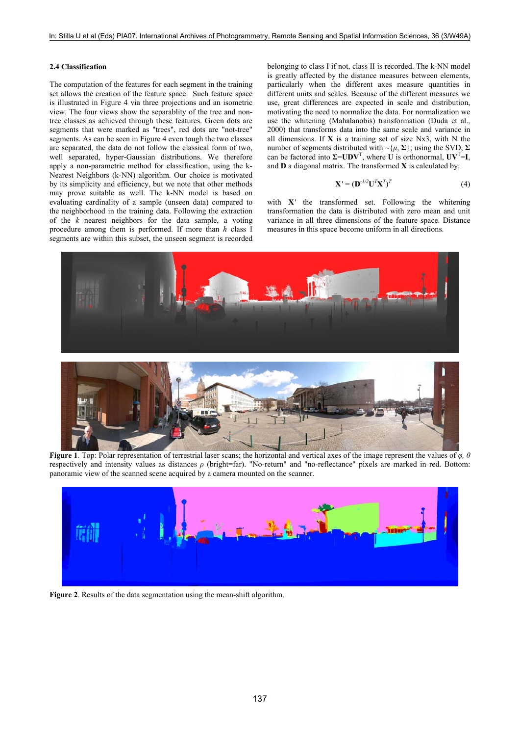## **2.4 Classification**

The computation of the features for each segment in the training set allows the creation of the feature space. Such feature space is illustrated in Figure 4 via three projections and an isometric view. The four views show the separablity of the tree and nontree classes as achieved through these features. Green dots are segments that were marked as "trees", red dots are "not-tree" segments. As can be seen in Figure 4 even tough the two classes are separated, the data do not follow the classical form of two, well separated, hyper-Gaussian distributions. We therefore apply a non-parametric method for classification, using the k-Nearest Neighbors (k-NN) algorithm. Our choice is motivated by its simplicity and efficiency, but we note that other methods may prove suitable as well. The k-NN model is based on evaluating cardinality of a sample (unseen data) compared to the neighborhood in the training data. Following the extraction of the *k* nearest neighbors for the data sample, a voting procedure among them is performed. If more than *h* class I segments are within this subset, the unseen segment is recorded belonging to class I if not, class II is recorded. The k-NN model is greatly affected by the distance measures between elements, particularly when the different axes measure quantities in different units and scales. Because of the different measures we use, great differences are expected in scale and distribution, motivating the need to normalize the data. For normalization we use the whitening (Mahalanobis) transformation (Duda et al., 2000) that transforms data into the same scale and variance in all dimensions. If **X** is a training set of size Nx3, with N the number of segments distributed with  $\sim \{\mu, \Sigma\}$ ; using the SVD,  $\Sigma$ can be factored into  $\Sigma$ =**UDV**<sup>T</sup>, where **U** is orthonormal,  $UV$ <sup>T</sup>=**I**, and **D** a diagonal matrix. The transformed **X** is calculated by:

$$
\mathbf{X}' = (\mathbf{D}^{-1/2} \mathbf{U}^T \mathbf{X}^T)^T
$$
 (4)

with **X***'* the transformed set. Following the whitening transformation the data is distributed with zero mean and unit variance in all three dimensions of the feature space. Distance measures in this space become uniform in all directions.





**Figure 1**. Top: Polar representation of terrestrial laser scans; the horizontal and vertical axes of the image represent the values of *φ, θ* respectively and intensity values as distances *ρ* (bright=far). "No-return" and "no-reflectance" pixels are marked in red. Bottom: panoramic view of the scanned scene acquired by a camera mounted on the scanner.



**Figure 2**. Results of the data segmentation using the mean-shift algorithm.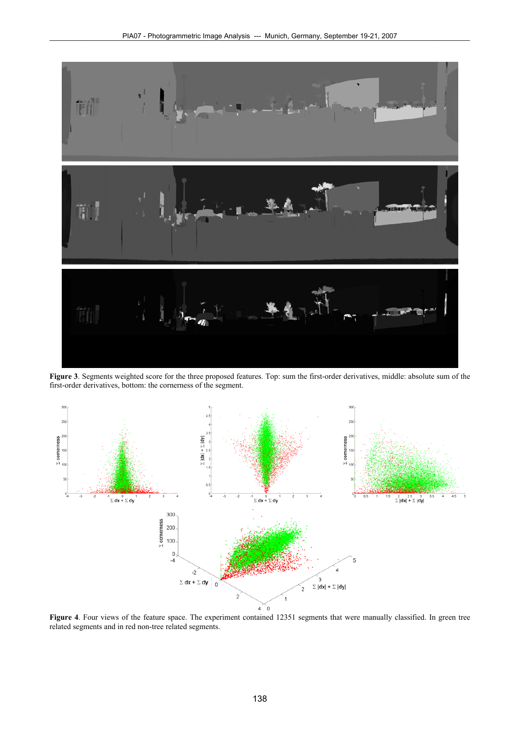

**Figure 3**. Segments weighted score for the three proposed features. Top: sum the first-order derivatives, middle: absolute sum of the first-order derivatives, bottom: the cornerness of the segment.



**Figure 4**. Four views of the feature space. The experiment contained 12351 segments that were manually classified. In green tree related segments and in red non-tree related segments.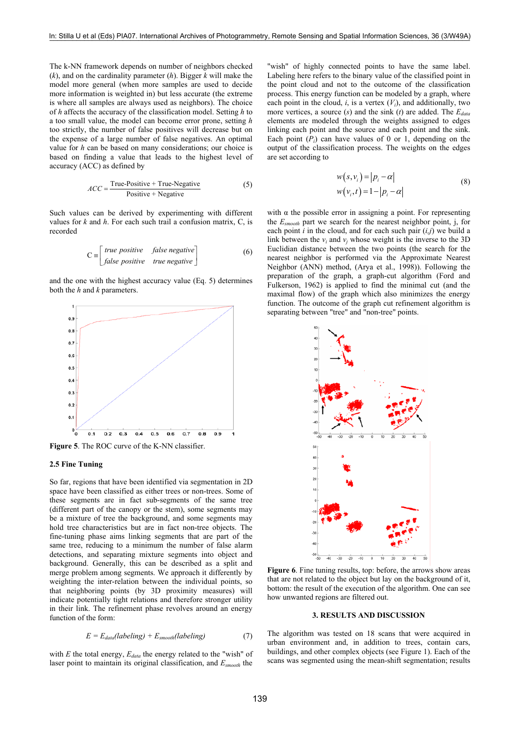The k-NN framework depends on number of neighbors checked (*k*), and on the cardinality parameter (*h*). Bigger *k* will make the model more general (when more samples are used to decide more information is weighted in) but less accurate (the extreme is where all samples are always used as neighbors). The choice of *h* affects the accuracy of the classification model. Setting *h* to a too small value, the model can become error prone, setting *h*  too strictly, the number of false positives will decrease but on the expense of a large number of false negatives. An optimal value for *h* can be based on many considerations; our choice is based on finding a value that leads to the highest level of accuracy (ACC) as defined by

$$
ACC = \frac{True\text{-Positive} + True\text{-Negative}}{Positive + Negative}
$$
 (5)

Such values can be derived by experimenting with different values for *k* and *h*. For each such trail a confusion matrix, C, is recorded

$$
C = \begin{bmatrix} true \ positive & false \ negative \\ false \ positive & true \ negative \end{bmatrix}
$$
 (6)

and the one with the highest accuracy value (Eq. 5) determines both the *h* and *k* parameters.



**Figure 5**. The ROC curve of the K-NN classifier.

## **2.5 Fine Tuning**

So far, regions that have been identified via segmentation in 2D space have been classified as either trees or non-trees. Some of these segments are in fact sub-segments of the same tree (different part of the canopy or the stem), some segments may be a mixture of tree the background, and some segments may hold tree characteristics but are in fact non-tree objects. The fine-tuning phase aims linking segments that are part of the same tree, reducing to a minimum the number of false alarm detections, and separating mixture segments into object and background. Generally, this can be described as a split and merge problem among segments. We approach it differently by weighting the inter-relation between the individual points, so that neighboring points (by 3D proximity measures) will indicate potentially tight relations and therefore stronger utility in their link. The refinement phase revolves around an energy function of the form:

$$
E = E_{data}(labeling) + E_{smooth}(labeling)
$$
 (7)

with  $E$  the total energy,  $E_{data}$  the energy related to the "wish" of laser point to maintain its original classification, and *Esmooth* the

"wish" of highly connected points to have the same label. Labeling here refers to the binary value of the classified point in the point cloud and not to the outcome of the classification process. This energy function can be modeled by a graph, where each point in the cloud,  $i$ , is a vertex  $(V_i)$ , and additionally, two more vertices, a source (s) and the sink (t) are added. The  $E_{data}$ elements are modeled through the weights assigned to edges linking each point and the source and each point and the sink. Each point  $(P_i)$  can have values of 0 or 1, depending on the output of the classification process. The weights on the edges are set according to

$$
w(s, v_i) = |p_i - \alpha|
$$
  
\n
$$
w(v_i, t) = 1 - |p_i - \alpha|
$$
 (8)

with  $\alpha$  the possible error in assigning a point. For representing the *Esmooth* part we search for the nearest neighbor point, j, for each point *i* in the cloud, and for each such pair (*i,j*) we build a link between the  $v_i$  and  $v_j$  whose weight is the inverse to the 3D Euclidian distance between the two points (the search for the nearest neighbor is performed via the Approximate Nearest Neighbor (ANN) method, (Arya et al., 1998)). Following the preparation of the graph, a graph-cut algorithm (Ford and Fulkerson, 1962) is applied to find the minimal cut (and the maximal flow) of the graph which also minimizes the energy function. The outcome of the graph cut refinement algorithm is separating between "tree" and "non-tree" points.



Figure 6. Fine tuning results, top: before, the arrows show areas that are not related to the object but lay on the background of it, bottom: the result of the execution of the algorithm. One can see how unwanted regions are filtered out.

## **3. RESULTS AND DISCUSSION**

The algorithm was tested on 18 scans that were acquired in urban environment and, in addition to trees, contain cars, buildings, and other complex objects (see Figure 1). Each of the scans was segmented using the mean-shift segmentation; results